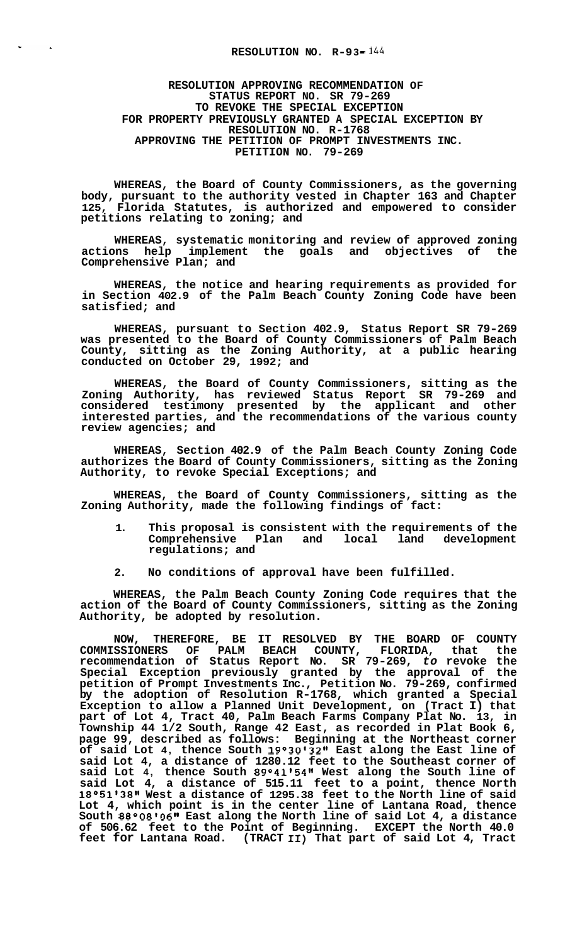## **RESOLUTION NO. R-93-144**

 $\mathbf{r}$ 

**RESOLUTION APPROVING RECOMMENDATION OF STATUS REPORT NO. SR 79-269 TO REVOKE THE SPECIAL EXCEPTION FOR PROPERTY PREVIOUSLY GRANTED A SPECIAL EXCEPTION BY RESOLUTION NO. R-1768 APPROVING THE PETITION OF PROMPT INVESTMENTS INC. PETITION NO. 79-269** 

**WHEREAS, the Board of County Commissioners, as the governing body, pursuant to the authority vested in Chapter 163 and Chapter 125, Florida Statutes, is authorized and empowered to consider petitions relating to zoning; and** 

**WHEREAS, systematic monitoring and review of approved zoning actions help implement the goals and objectives of the Comprehensive Plan; and** 

**WHEREAS, the notice and hearing requirements as provided for in Section 402.9 of the Palm Beach County Zoning Code have been satisfied; and** 

**WHEREAS, pursuant to Section 402.9, Status Report SR 79-269 was presented to the Board of County Commissioners of Palm Beach County, sitting as the Zoning Authority, at a public hearing conducted on October 29, 1992; and** 

**WHEREAS, the Board of County Commissioners, sitting as the Zoning Authority, has reviewed Status Report SR 79-269 and considered testimony presented by the applicant and other interested parties, and the recommendations of the various county review agencies; and** 

**WHEREAS, Section 402.9 of the Palm Beach County Zoning Code authorizes the Board of County Commissioners, sitting as the Zoning Authority, to revoke Special Exceptions; and** 

**WHEREAS, the Board of County Commissioners, sitting as the Zoning Authority, made the following findings of fact:** 

- **1. This proposal is consistent with the requirements of the Comprehensive Plan and local land development regulations; and**
- **2. No conditions of approval have been fulfilled.**

**WHEREAS, the Palm Beach County Zoning Code requires that the action of the Board of County Commissioners, sitting as the Zoning Authority, be adopted by resolution.** 

**NOW, THEREFORE, BE IT RESOLVED BY THE BOARD OF COUNTY COMMISSIONERS OF PALM BEACH COUNTY, FLORIDA, that the recommendation of Status Report No. SR 79-269,** *to* **revoke the Special Exception previously granted by the approval of the petition of Prompt Investments Inc., Petition No. 79-269, confirmed by the adoption of Resolution R-1768, which granted a Special Exception to allow a Planned Unit Development, on (Tract I) that part of Lot 4, Tract 40, Palm Beach Farms Company Plat No. 13, in Township 44 1/2 South, Range 42 East, as recorded in Plat Book 6, page 99, described as follows: Beginning at the Northeast corner of said Lot 4, thence South 19°3013211 East along the East line of said Lot 4, a distance of 1280.12 feet to the Southeast corner of said Lot 4, thence South 89°4115411 West along the South line of said Lot 4, a distance of 515.11 feet to a point, thence North 18°5113811 West a distance of 1295.38 feet to the North line of said Lot 4, which point is in the center line of Lantana Road, thence South 88°0810611 East along the North line of said Lot 4, a distance of 506.62 feet to the Point of Beginning. EXCEPT the North 40.0 feet for Lantana Road. (TRACT 11) That part of said Lot 4, Tract**